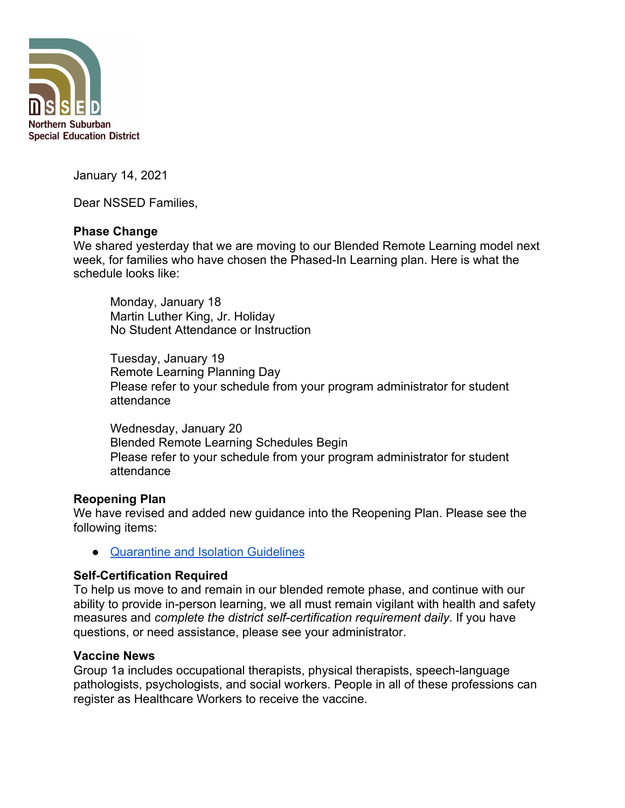

January 14, 2021

Dear NSSED Families,

## **Phase Change**

We shared yesterday that we are moving to our Blended Remote Learning model next week, for families who have chosen the Phased-In Learning plan. Here is what the schedule looks like:

Monday, January 18 Martin Luther King, Jr. Holiday No Student Attendance or Instruction

Tuesday, January 19 Remote Learning Planning Day Please refer to your schedule from your program administrator for student attendance

Wednesday, January 20 Blended Remote Learning Schedules Begin Please refer to your schedule from your program administrator for student attendance

## **Reopening Plan**

We have revised and added new guidance into the Reopening Plan. Please see the following items:

● [Quarantine and Isolation Guidelines](https://docs.google.com/document/d/1fSOHV3Ld9J0ByBo7kV4N7W9WHFpFBQBibNOo2wILNcw/edit#heading=h.avqrpbkr38dt)

## **Self-Certification Required**

To help us move to and remain in our blended remote phase, and continue with our ability to provide in-person learning, we all must remain vigilant with health and safety measures and *complete the district self-certification requirement daily*. If you have questions, or need assistance, please see your administrator.

## **Vaccine News**

Group 1a includes occupational therapists, physical therapists, speech-language pathologists, psychologists, and social workers. People in all of these professions can register as Healthcare Workers to receive the vaccine.